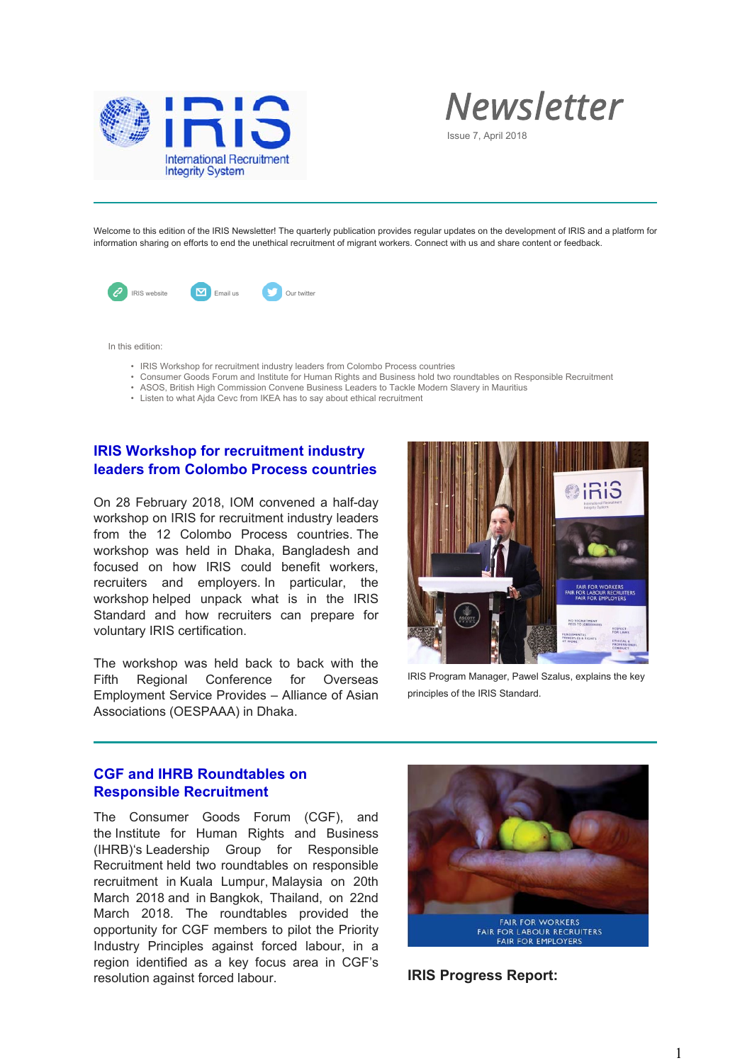



Issue 7, April 2018

Welcome to this edition of the IRIS Newsletter! The quarterly publication provides regular updates on the development of IRIS and a platform for information sharing on efforts to end the unethical recruitment of migrant workers. Connect with us and share content or feedback.



In this edition:

- IRIS Workshop for recruitment industry leaders from Colombo Process countries
- Consumer Goods Forum and Institute for Human Rights and Business hold two roundtables on Responsible Recruitment
- ASOS, British High Commission Convene Business Leaders to Tackle Modern Slavery in Mauritius
- Listen to what Ajda Cevc from IKEA has to say about ethical recruitment

## **IRIS Workshop for recruitment industry leaders from Colombo Process countries**

On 28 February 2018, IOM convened a half-day workshop on IRIS for recruitment industry leaders from the 12 Colombo Process countries. The workshop was held in Dhaka, Bangladesh and focused on how IRIS could benefit workers, recruiters and employers. In particular, the workshop helped unpack what is in the IRIS Standard and how recruiters can prepare for voluntary IRIS certification.

The workshop was held back to back with the Fifth Regional Conference for Overseas Employment Service Provides – Alliance of Asian Associations (OESPAAA) in Dhaka.



IRIS Program Manager, Pawel Szalus, explains the key principles of the IRIS Standard.

## **CGF and IHRB Roundtables on Responsible Recruitment**

The Consumer Goods Forum (CGF), and the Institute for Human Rights and Business (IHRB)'s Leadership Group for Responsible Recruitment held two roundtables on responsible recruitment in Kuala Lumpur, Malaysia on 20th March 2018 and in Bangkok, Thailand, on 22nd March 2018. The roundtables provided the opportunity for CGF members to pilot the Priority Industry Principles against forced labour, in a region identified as a key focus area in CGF's resolution against forced labour. **IRIS Progress Report:**

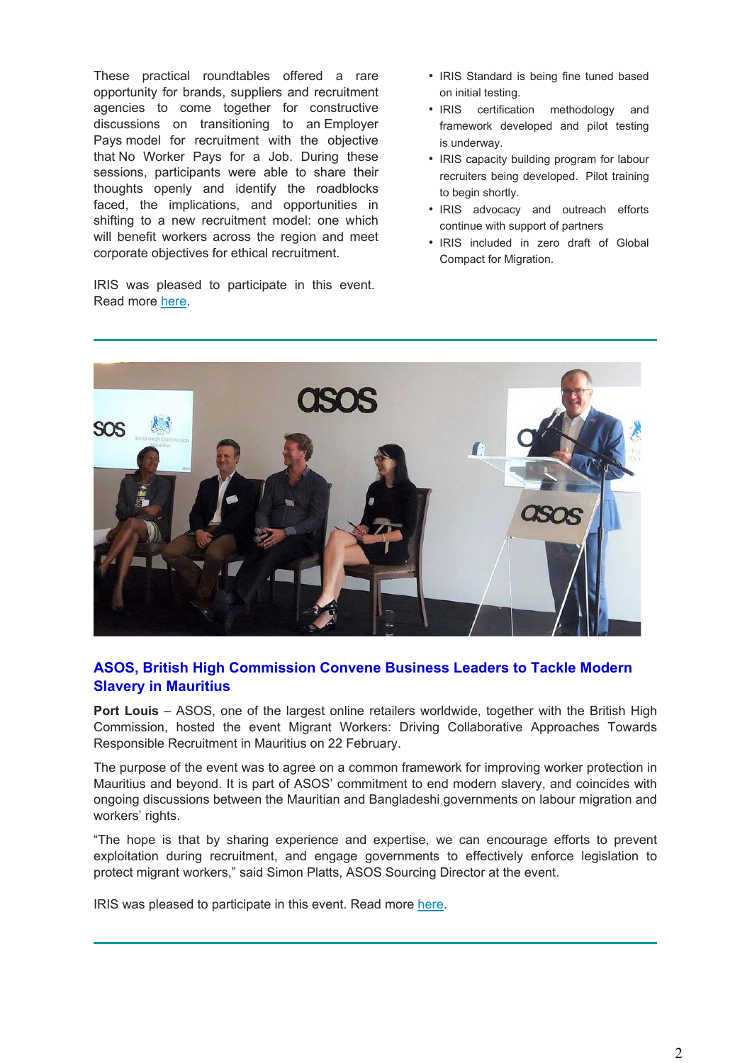These practical roundtables offered a rare opportunity for brands, suppliers and recruitment agencies to come together for constructive discussions on transitioning to an Employer Pays model for recruitment with the objective that No Worker Pays for a Job. During these sessions, participants were able to share their thoughts openly and identify the roadblocks faced, the implications, and opportunities in shifting to a new recruitment model: one which will benefit workers across the region and meet corporate objectives for ethical recruitment.

IRIS was pleased to participate in this event. Read more here.

- IRIS Standard is being fine tuned based on initial testing.
- IRIS certification methodology and framework developed and pilot testing is underway.
- IRIS capacity building program for labour recruiters being developed. Pilot training to begin shortly.
- IRIS advocacy and outreach efforts continue with support of partners
- IRIS included in zero draft of Global Compact for Migration.



## **ASOS, British High Commission Convene Business Leaders to Tackle Modern Slavery in Mauritius**

**Port Louis** – ASOS, one of the largest online retailers worldwide, together with the British High Commission, hosted the event Migrant Workers: Driving Collaborative Approaches Towards Responsible Recruitment in Mauritius on 22 February.

The purpose of the event was to agree on a common framework for improving worker protection in Mauritius and beyond. It is part of ASOS' commitment to end modern slavery, and coincides with ongoing discussions between the Mauritian and Bangladeshi governments on labour migration and workers' rights.

"The hope is that by sharing experience and expertise, we can encourage efforts to prevent exploitation during recruitment, and engage governments to effectively enforce legislation to protect migrant workers," said Simon Platts, ASOS Sourcing Director at the event.

IRIS was pleased to participate in this event. Read more here.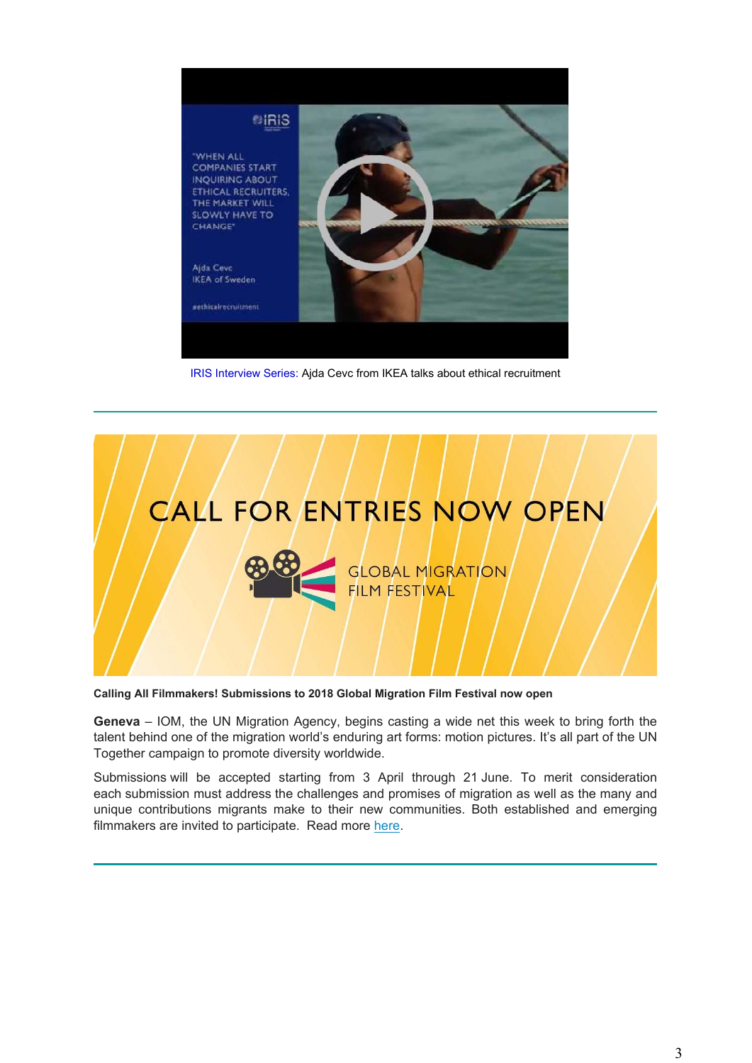

IRIS Interview Series: Ajda Cevc from IKEA talks about ethical recruitment



**Calling All Filmmakers! Submissions to 2018 Global Migration Film Festival now open**

**Geneva** – IOM, the UN Migration Agency, begins casting a wide net this week to bring forth the talent behind one of the migration world's enduring art forms: motion pictures. It's all part of the UN Together campaign to promote diversity worldwide.

Submissions will be accepted starting from 3 April through 21 June. To merit consideration each submission must address the challenges and promises of migration as well as the many and unique contributions migrants make to their new communities. Both established and emerging filmmakers are invited to participate. Read more here.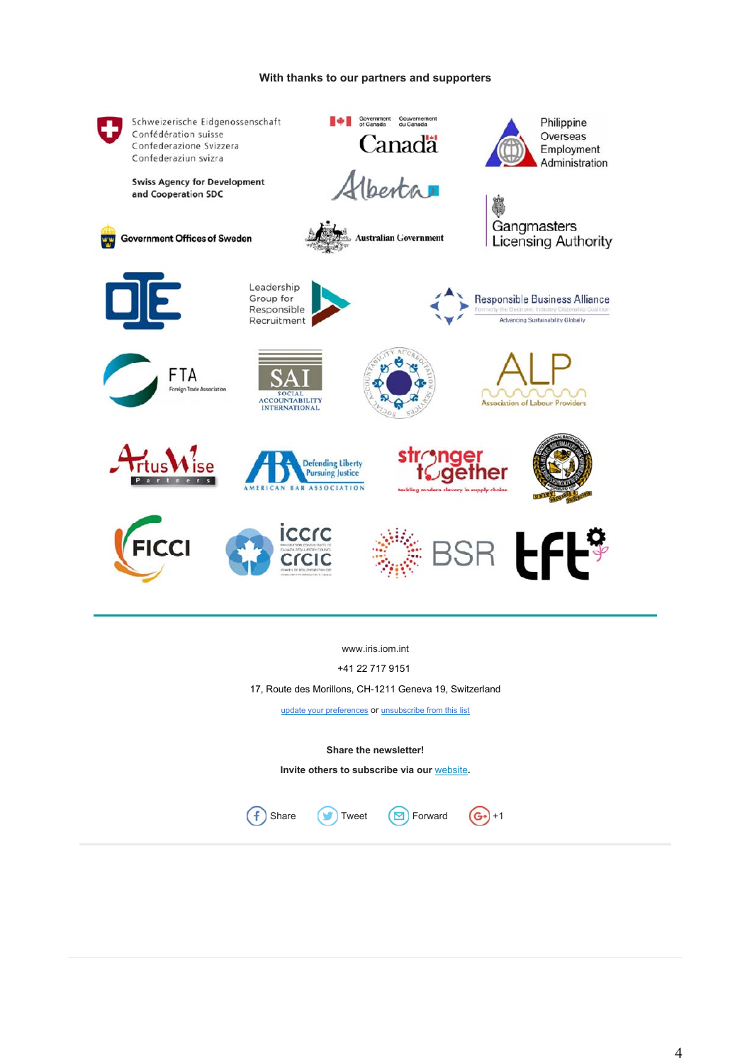## **With thanks to our partners and supporters**



www.iris.iom.int

+41 22 717 9151

17, Route des Morillons, CH-1211 Geneva 19, Switzerland

update your preferences or unsubscribe from this list

**Share the newsletter!**

**Invite others to subscribe via our** website**.**